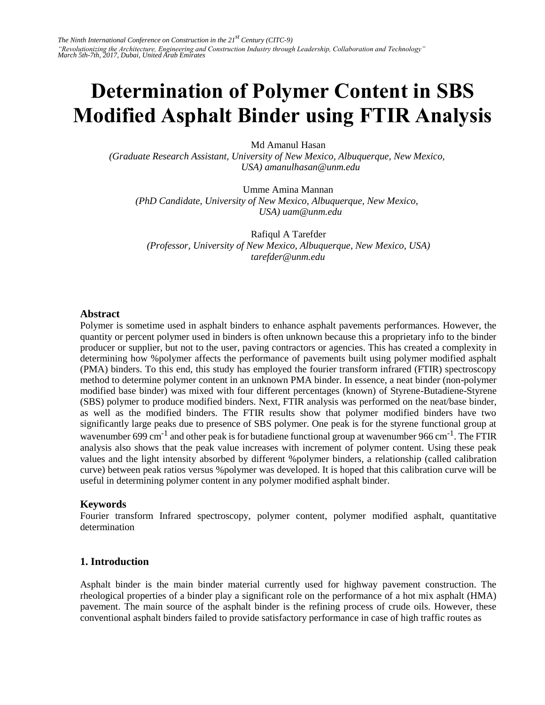# **Determination of Polymer Content in SBS Modified Asphalt Binder using FTIR Analysis**

Md Amanul Hasan

*(Graduate Research Assistant, University of New Mexico, Albuquerque, New Mexico, USA) amanulhasan@unm.edu* 

Umme Amina Mannan

*(PhD Candidate, University of New Mexico, Albuquerque, New Mexico, USA) uam@unm.edu* 

Rafiqul A Tarefder *(Professor, University of New Mexico, Albuquerque, New Mexico, USA) tarefder@unm.edu* 

## **Abstract**

Polymer is sometime used in asphalt binders to enhance asphalt pavements performances. However, the quantity or percent polymer used in binders is often unknown because this a proprietary info to the binder producer or supplier, but not to the user, paving contractors or agencies. This has created a complexity in determining how %polymer affects the performance of pavements built using polymer modified asphalt (PMA) binders. To this end, this study has employed the fourier transform infrared (FTIR) spectroscopy method to determine polymer content in an unknown PMA binder. In essence, a neat binder (non-polymer modified base binder) was mixed with four different percentages (known) of Styrene-Butadiene-Styrene (SBS) polymer to produce modified binders. Next, FTIR analysis was performed on the neat/base binder, as well as the modified binders. The FTIR results show that polymer modified binders have two significantly large peaks due to presence of SBS polymer. One peak is for the styrene functional group at wavenumber 699 cm<sup>-1</sup> and other peak is for butadiene functional group at wavenumber 966 cm<sup>-1</sup>. The FTIR analysis also shows that the peak value increases with increment of polymer content. Using these peak values and the light intensity absorbed by different %polymer binders, a relationship (called calibration curve) between peak ratios versus %polymer was developed. It is hoped that this calibration curve will be useful in determining polymer content in any polymer modified asphalt binder.

## **Keywords**

Fourier transform Infrared spectroscopy, polymer content, polymer modified asphalt, quantitative determination

## **1. Introduction**

Asphalt binder is the main binder material currently used for highway pavement construction. The rheological properties of a binder play a significant role on the performance of a hot mix asphalt (HMA) pavement. The main source of the asphalt binder is the refining process of crude oils. However, these conventional asphalt binders failed to provide satisfactory performance in case of high traffic routes as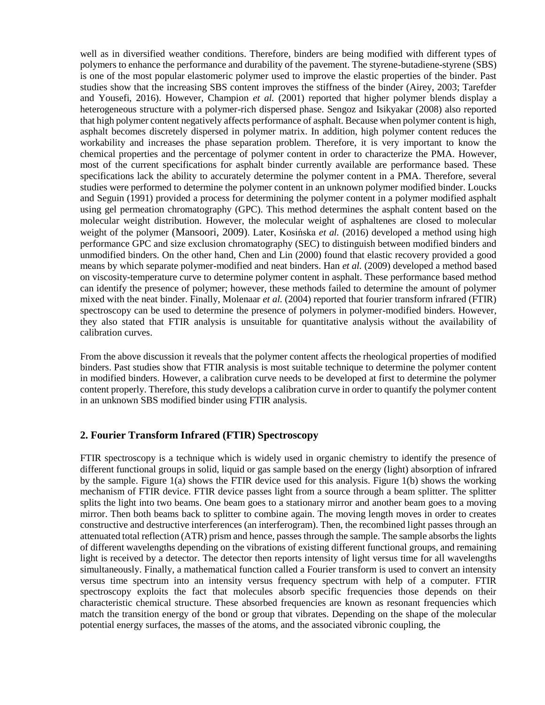well as in diversified weather conditions. Therefore, binders are being modified with different types of polymers to enhance the performance and durability of the pavement. The styrene-butadiene-styrene (SBS) is one of the most popular elastomeric polymer used to improve the elastic properties of the binder. Past studies show that the increasing SBS content improves the stiffness of the binder (Airey, 2003; Tarefder and Yousefi, 2016). However, Champion *et al.* (2001) reported that higher polymer blends display a heterogeneous structure with a polymer-rich dispersed phase. Sengoz and Isikyakar (2008) also reported that high polymer content negatively affects performance of asphalt. Because when polymer content is high, asphalt becomes discretely dispersed in polymer matrix. In addition, high polymer content reduces the workability and increases the phase separation problem. Therefore, it is very important to know the chemical properties and the percentage of polymer content in order to characterize the PMA. However, most of the current specifications for asphalt binder currently available are performance based. These specifications lack the ability to accurately determine the polymer content in a PMA. Therefore, several studies were performed to determine the polymer content in an unknown polymer modified binder. Loucks and Seguin (1991) provided a process for determining the polymer content in a polymer modified asphalt using gel permeation chromatography (GPC). This method determines the asphalt content based on the molecular weight distribution. However, the molecular weight of asphaltenes are closed to molecular weight of the polymer (Mansoori, 2009). Later, Kosińska *et al.* (2016) developed a method using high performance GPC and size exclusion chromatography (SEC) to distinguish between modified binders and unmodified binders. On the other hand, Chen and Lin (2000) found that elastic recovery provided a good means by which separate polymer-modified and neat binders. Han *et al.* (2009) developed a method based on viscosity-temperature curve to determine polymer content in asphalt. These performance based method can identify the presence of polymer; however, these methods failed to determine the amount of polymer mixed with the neat binder. Finally, Molenaar *et al.* (2004) reported that fourier transform infrared (FTIR) spectroscopy can be used to determine the presence of polymers in polymer-modified binders. However, they also stated that FTIR analysis is unsuitable for quantitative analysis without the availability of calibration curves.

From the above discussion it reveals that the polymer content affects the rheological properties of modified binders. Past studies show that FTIR analysis is most suitable technique to determine the polymer content in modified binders. However, a calibration curve needs to be developed at first to determine the polymer content properly. Therefore, this study develops a calibration curve in order to quantify the polymer content in an unknown SBS modified binder using FTIR analysis.

# **2. Fourier Transform Infrared (FTIR) Spectroscopy**

FTIR spectroscopy is a technique which is widely used in organic chemistry to identify the presence of different functional groups in solid, liquid or gas sample based on the energy (light) absorption of infrared by the sample. Figure 1(a) shows the FTIR device used for this analysis. Figure 1(b) shows the working mechanism of FTIR device. FTIR device passes light from a source through a beam splitter. The splitter splits the light into two beams. One beam goes to a stationary mirror and another beam goes to a moving mirror. Then both beams back to splitter to combine again. The moving length moves in order to creates constructive and destructive interferences (an interferogram). Then, the recombined light passes through an attenuated total reflection (ATR) prism and hence, passes through the sample. The sample absorbs the lights of different wavelengths depending on the vibrations of existing different functional groups, and remaining light is received by a detector. The detector then reports intensity of light versus time for all wavelengths simultaneously. Finally, a mathematical function called a Fourier transform is used to convert an intensity versus time spectrum into an intensity versus frequency spectrum with help of a computer. FTIR spectroscopy exploits the fact that molecules absorb specific frequencies those depends on their characteristic chemical structure. These absorbed frequencies are known as resonant frequencies which match the transition energy of the bond or group that vibrates. Depending on the shape of the molecular potential energy surfaces, the masses of the atoms, and the associated vibronic coupling, the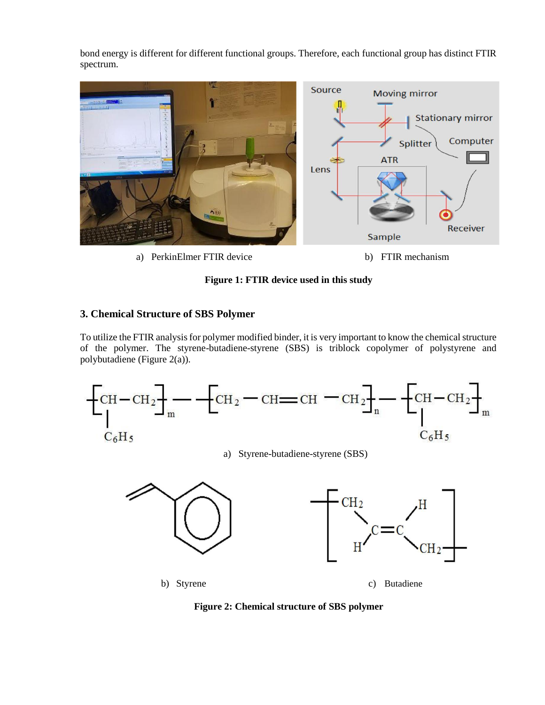bond energy is different for different functional groups. Therefore, each functional group has distinct FTIR spectrum.



a) PerkinElmer FTIR device b) FTIR mechanism

**Figure 1: FTIR device used in this study**

## **3. Chemical Structure of SBS Polymer**

To utilize the FTIR analysis for polymer modified binder, it is very important to know the chemical structure of the polymer. The styrene-butadiene-styrene (SBS) is triblock copolymer of polystyrene and polybutadiene (Figure 2(a)).





**Figure 2: Chemical structure of SBS polymer**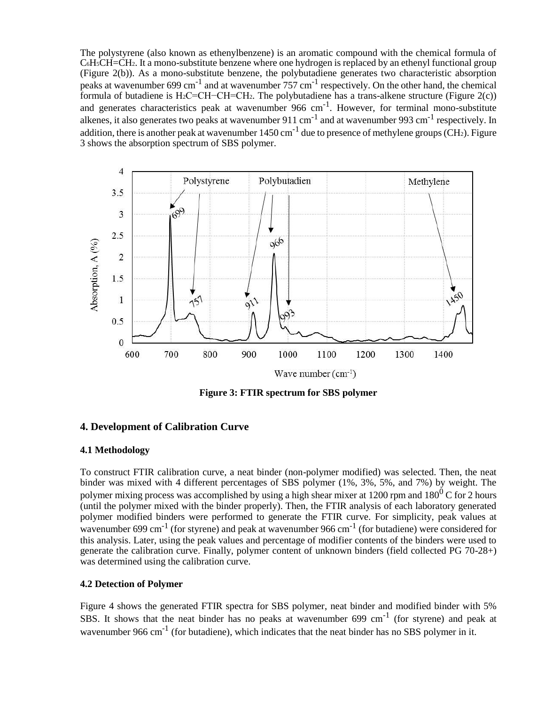The polystyrene (also known as ethenylbenzene) is an aromatic compound with the chemical formula of C6H5CH=CH2. It a mono-substitute benzene where one hydrogen is replaced by an ethenyl functional group (Figure 2(b)). As a mono-substitute benzene, the polybutadiene generates two characteristic absorption peaks at wavenumber 699 cm<sup>-1</sup> and at wavenumber 757 cm<sup>-1</sup> respectively. On the other hand, the chemical formula of butadiene is H<sub>2</sub>C=CH−CH=CH<sub>2</sub>. The polybutadiene has a trans-alkene structure (Figure 2(c)) and generates characteristics peak at wavenumber 966 cm<sup>-1</sup>. However, for terminal mono-substitute alkenes, it also generates two peaks at wavenumber 911 cm<sup>-1</sup> and at wavenumber 993 cm<sup>-1</sup> respectively. In addition, there is another peak at wavenumber  $1450 \text{ cm}^{-1}$  due to presence of methylene groups (CH<sub>2</sub>). Figure 3 shows the absorption spectrum of SBS polymer.



**Figure 3: FTIR spectrum for SBS polymer**

## **4. Development of Calibration Curve**

#### **4.1 Methodology**

To construct FTIR calibration curve, a neat binder (non-polymer modified) was selected. Then, the neat binder was mixed with 4 different percentages of SBS polymer (1%, 3%, 5%, and 7%) by weight. The polymer mixing process was accomplished by using a high shear mixer at 1200 rpm and 180<sup>0</sup> C for 2 hours (until the polymer mixed with the binder properly). Then, the FTIR analysis of each laboratory generated polymer modified binders were performed to generate the FTIR curve. For simplicity, peak values at wavenumber 699 cm<sup>-1</sup> (for styrene) and peak at wavenumber 966 cm<sup>-1</sup> (for butadiene) were considered for this analysis. Later, using the peak values and percentage of modifier contents of the binders were used to generate the calibration curve. Finally, polymer content of unknown binders (field collected PG 70-28+) was determined using the calibration curve.

## **4.2 Detection of Polymer**

Figure 4 shows the generated FTIR spectra for SBS polymer, neat binder and modified binder with 5% SBS. It shows that the neat binder has no peaks at wavenumber 699 cm<sup>-1</sup> (for styrene) and peak at wavenumber 966 cm<sup>-1</sup> (for butadiene), which indicates that the neat binder has no SBS polymer in it.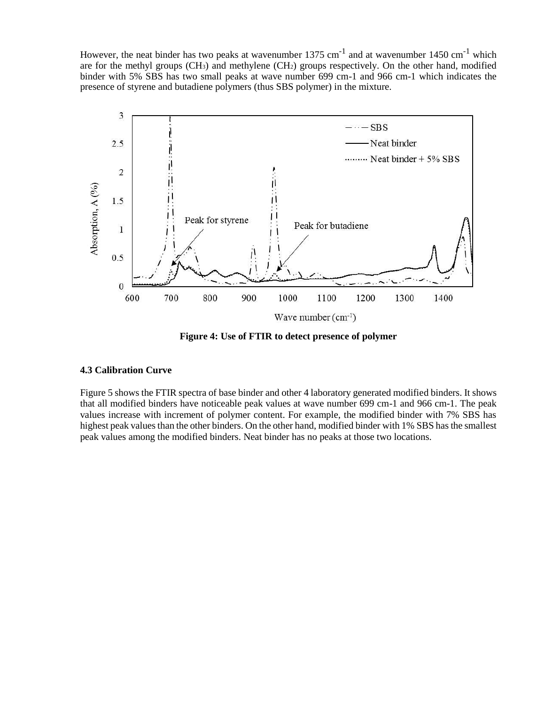However, the neat binder has two peaks at wavenumber  $1375 \text{ cm}^{-1}$  and at wavenumber  $1450 \text{ cm}^{-1}$  which are for the methyl groups  $(CH_3)$  and methylene  $(CH_2)$  groups respectively. On the other hand, modified binder with 5% SBS has two small peaks at wave number 699 cm-1 and 966 cm-1 which indicates the presence of styrene and butadiene polymers (thus SBS polymer) in the mixture.



**Figure 4: Use of FTIR to detect presence of polymer**

## **4.3 Calibration Curve**

Figure 5 shows the FTIR spectra of base binder and other 4 laboratory generated modified binders. It shows that all modified binders have noticeable peak values at wave number 699 cm-1 and 966 cm-1. The peak values increase with increment of polymer content. For example, the modified binder with 7% SBS has highest peak values than the other binders. On the other hand, modified binder with 1% SBS has the smallest peak values among the modified binders. Neat binder has no peaks at those two locations.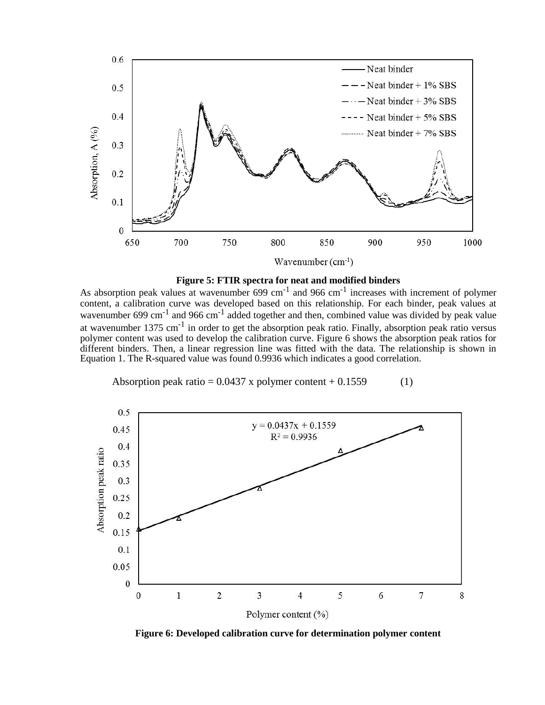



As absorption peak values at wavenumber  $699 \text{ cm}^{-1}$  and  $966 \text{ cm}^{-1}$  increases with increment of polymer content, a calibration curve was developed based on this relationship. For each binder, peak values at wavenumber 699 cm<sup>-1</sup> and 966 cm<sup>-1</sup> added together and then, combined value was divided by peak value at wavenumber 1375 cm<sup>-1</sup> in order to get the absorption peak ratio. Finally, absorption peak ratio versus polymer content was used to develop the calibration curve. Figure 6 shows the absorption peak ratios for different binders. Then, a linear regression line was fitted with the data. The relationship is shown in Equation 1. The R-squared value was found 0.9936 which indicates a good correlation.

Absorption peak ratio = 
$$
0.0437
$$
 x polymer content +  $0.1559$  (1)



**Figure 6: Developed calibration curve for determination polymer content**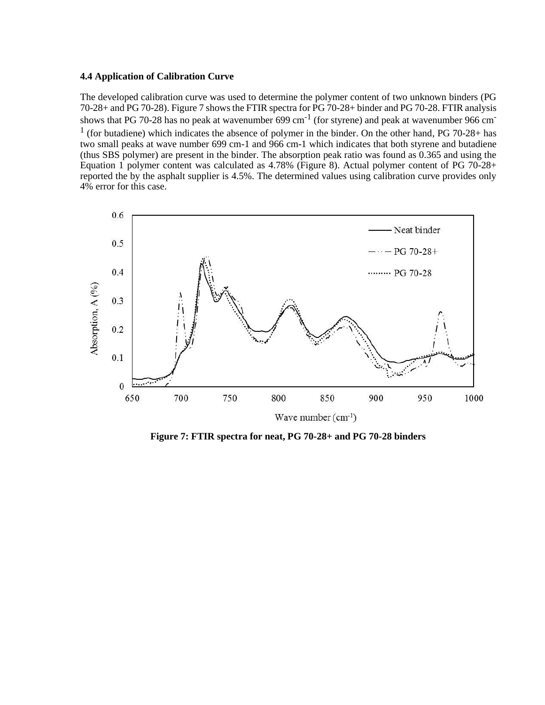#### **4.4 Application of Calibration Curve**

The developed calibration curve was used to determine the polymer content of two unknown binders (PG 70-28+ and PG 70-28). Figure 7 shows the FTIR spectra for PG 70-28+ binder and PG 70-28. FTIR analysis shows that PG 70-28 has no peak at wavenumber  $699 \text{ cm}^{-1}$  (for styrene) and peak at wavenumber 966 cm<sup>-</sup>  $<sup>1</sup>$  (for butadiene) which indicates the absence of polymer in the binder. On the other hand, PG 70-28+ has</sup> two small peaks at wave number 699 cm-1 and 966 cm-1 which indicates that both styrene and butadiene (thus SBS polymer) are present in the binder. The absorption peak ratio was found as 0.365 and using the Equation 1 polymer content was calculated as 4.78% (Figure 8). Actual polymer content of PG 70-28+ reported the by the asphalt supplier is 4.5%. The determined values using calibration curve provides only 4% error for this case.



**Figure 7: FTIR spectra for neat, PG 70-28+ and PG 70-28 binders**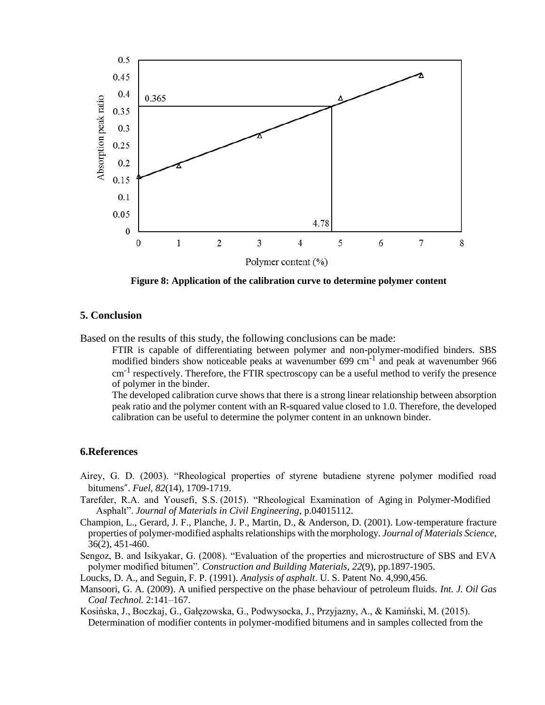

**Figure 8: Application of the calibration curve to determine polymer content**

#### **5. Conclusion**

Based on the results of this study, the following conclusions can be made:

FTIR is capable of differentiating between polymer and non-polymer-modified binders. SBS modified binders show noticeable peaks at wavenumber 699 cm<sup>-1</sup> and peak at wavenumber 966 cm<sup>-1</sup> respectively. Therefore, the FTIR spectroscopy can be a useful method to verify the presence of polymer in the binder.

The developed calibration curve shows that there is a strong linear relationship between absorption peak ratio and the polymer content with an R-squared value closed to 1.0. Therefore, the developed calibration can be useful to determine the polymer content in an unknown binder.

#### **6.References**

- Airey, G. D. (2003). "Rheological properties of styrene butadiene styrene polymer modified road bitumens". *Fuel*, *82*(14), 1709-1719.
- Tarefder, R.A. and Yousefi, S.S. (2015). "Rheological Examination of Aging in Polymer-Modified Asphalt". *Journal of Materials in Civil Engineering*, p.04015112.
- Champion, L., Gerard, J. F., Planche, J. P., Martin, D., & Anderson, D. (2001). Low-temperature fracture properties of polymer-modified asphalts relationships with the morphology. *Journal of Materials Science*, 36(2), 451-460.

Sengoz, B. and Isikyakar, G. (2008). "Evaluation of the properties and microstructure of SBS and EVA polymer modified bitumen". *Construction and Building Materials*, *22*(9), pp.1897-1905.

Loucks, D. A., and Seguin, F. P. (1991). *Analysis of asphalt*. U. S. Patent No. 4,990,456.

Mansoori, G. A. (2009). A unified perspective on the phase behaviour of petroleum fluids. *Int. J. Oil Gas Coal Technol.* 2:141–167.

Kosińska, J., Boczkaj, G., Gałęzowska, G., Podwysocka, J., Przyjazny, A., & Kamiński, M. (2015).

Determination of modifier contents in polymer-modified bitumens and in samples collected from the